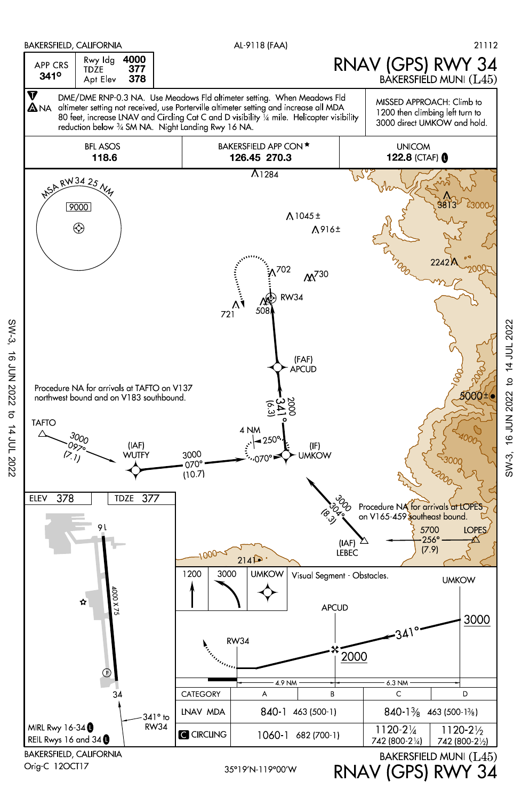

**16 JUN 2022** 

SW-3, 16 JUN 2022 to 14 JUL 202216 JUN 2022 to 14 JUL 2022  $SW-3$ .